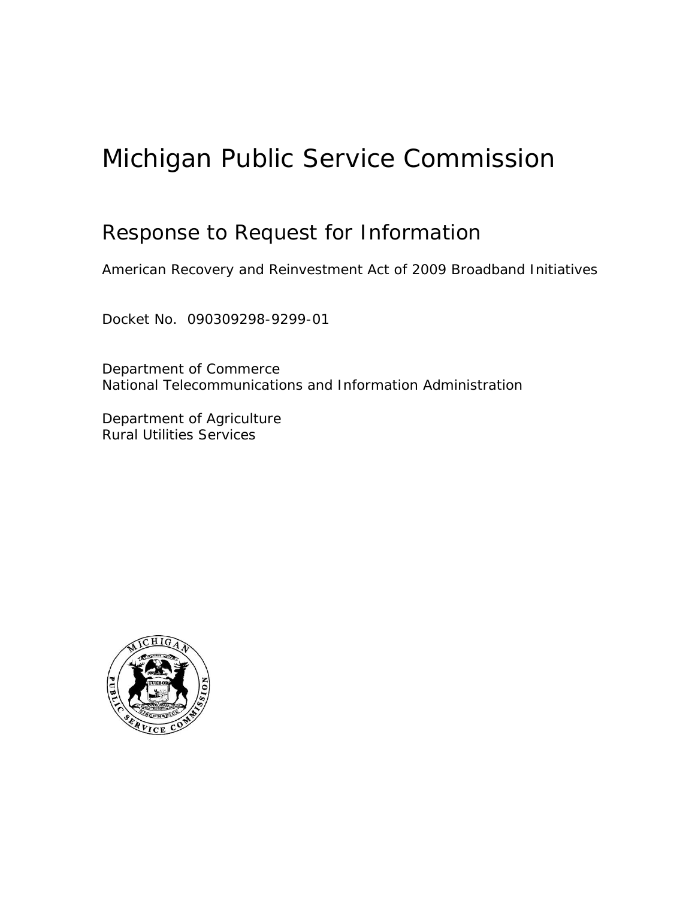# Michigan Public Service Commission

# Response to Request for Information

American Recovery and Reinvestment Act of 2009 Broadband Initiatives

Docket No. 090309298-9299-01

Department of Commerce National Telecommunications and Information Administration

Department of Agriculture Rural Utilities Services

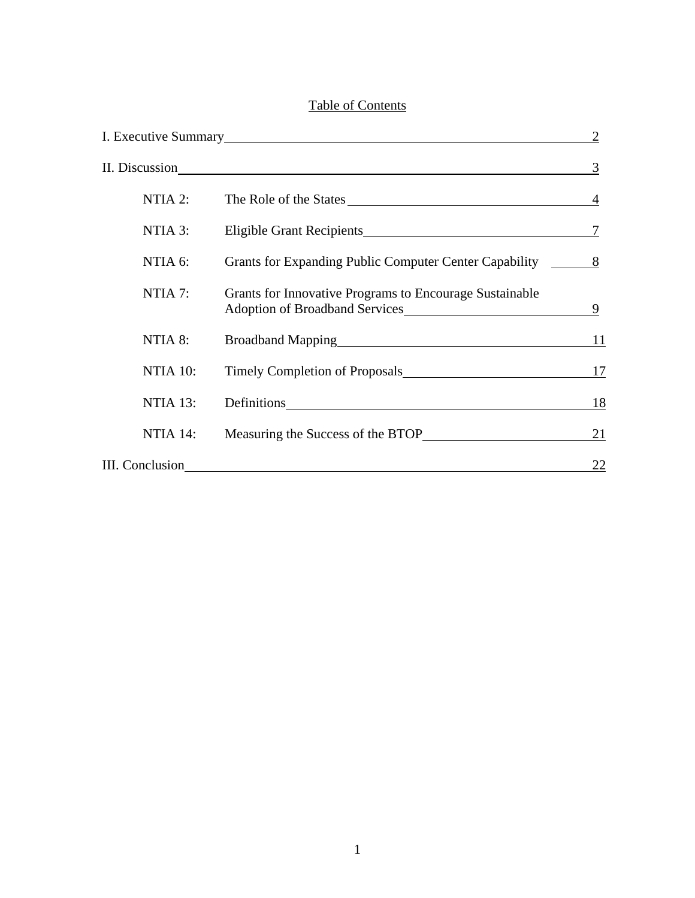# Table of Contents

|                 |                                                              | 3  |
|-----------------|--------------------------------------------------------------|----|
| NTIA 2:         | The Role of the States 14                                    |    |
| NTIA 3:         | Eligible Grant Recipients<br><u>Ligible Grant Recipients</u> |    |
| NTIA 6:         | Grants for Expanding Public Computer Center Capability 8     |    |
| NTIA 7:         | Grants for Innovative Programs to Encourage Sustainable      | 9  |
| NTIA 8:         | Broadband Mapping<br><u>Froadband Mapping</u>                | 11 |
| NTIA 10:        | Timely Completion of Proposals                               | 17 |
| NTIA 13:        |                                                              | 18 |
| NTIA 14:        |                                                              | 21 |
| III. Conclusion |                                                              | 22 |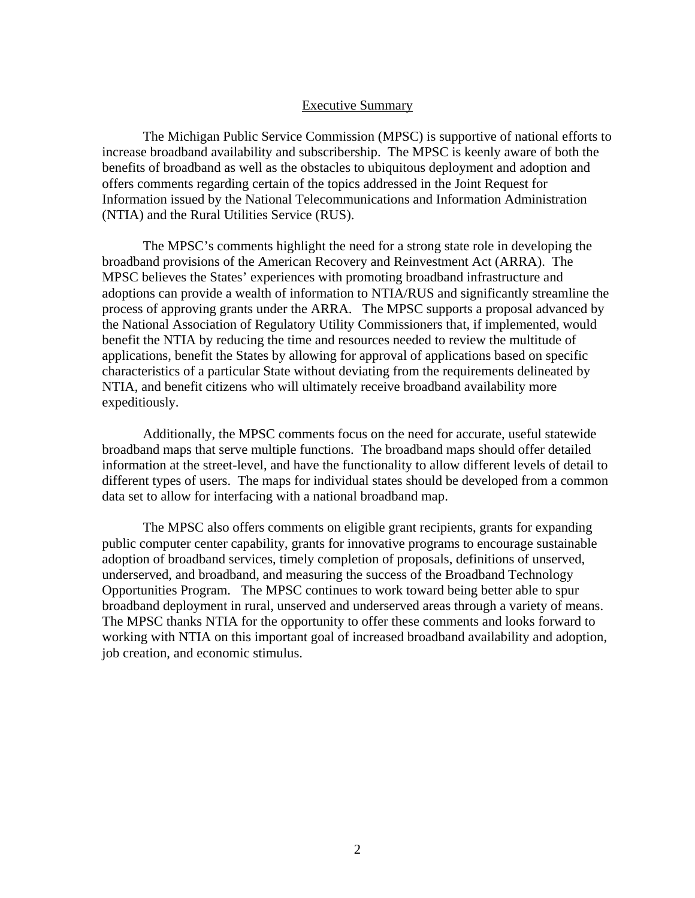#### Executive Summary

 The Michigan Public Service Commission (MPSC) is supportive of national efforts to increase broadband availability and subscribership. The MPSC is keenly aware of both the benefits of broadband as well as the obstacles to ubiquitous deployment and adoption and offers comments regarding certain of the topics addressed in the Joint Request for Information issued by the National Telecommunications and Information Administration (NTIA) and the Rural Utilities Service (RUS).

 The MPSC's comments highlight the need for a strong state role in developing the broadband provisions of the American Recovery and Reinvestment Act (ARRA). The MPSC believes the States' experiences with promoting broadband infrastructure and adoptions can provide a wealth of information to NTIA/RUS and significantly streamline the process of approving grants under the ARRA. The MPSC supports a proposal advanced by the National Association of Regulatory Utility Commissioners that, if implemented, would benefit the NTIA by reducing the time and resources needed to review the multitude of applications, benefit the States by allowing for approval of applications based on specific characteristics of a particular State without deviating from the requirements delineated by NTIA, and benefit citizens who will ultimately receive broadband availability more expeditiously.

 Additionally, the MPSC comments focus on the need for accurate, useful statewide broadband maps that serve multiple functions. The broadband maps should offer detailed information at the street-level, and have the functionality to allow different levels of detail to different types of users. The maps for individual states should be developed from a common data set to allow for interfacing with a national broadband map.

 The MPSC also offers comments on eligible grant recipients, grants for expanding public computer center capability, grants for innovative programs to encourage sustainable adoption of broadband services, timely completion of proposals, definitions of unserved, underserved, and broadband, and measuring the success of the Broadband Technology Opportunities Program. The MPSC continues to work toward being better able to spur broadband deployment in rural, unserved and underserved areas through a variety of means. The MPSC thanks NTIA for the opportunity to offer these comments and looks forward to working with NTIA on this important goal of increased broadband availability and adoption, job creation, and economic stimulus.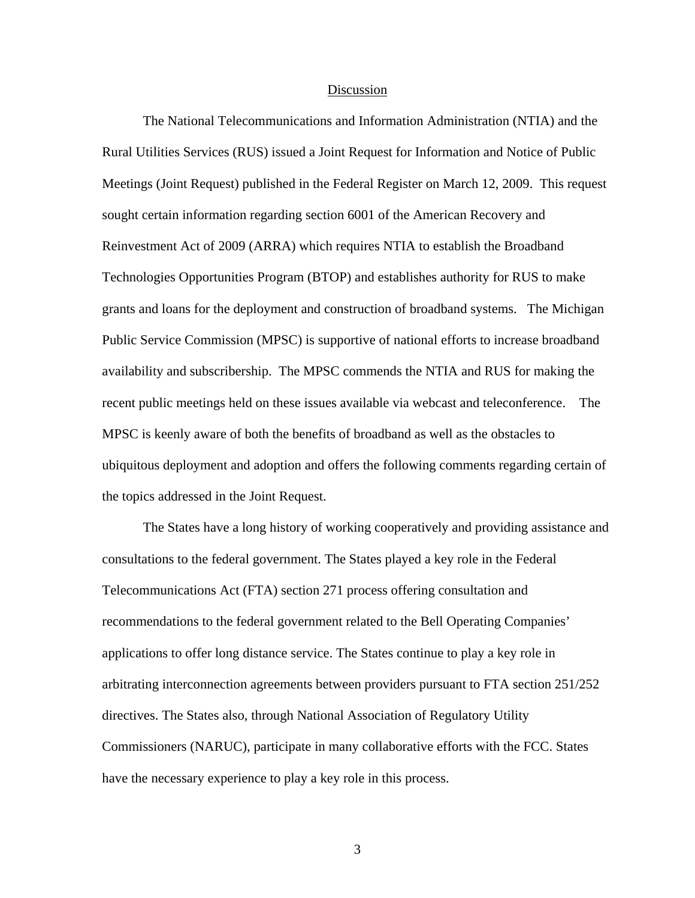#### Discussion

The National Telecommunications and Information Administration (NTIA) and the Rural Utilities Services (RUS) issued a Joint Request for Information and Notice of Public Meetings (Joint Request) published in the Federal Register on March 12, 2009. This request sought certain information regarding section 6001 of the American Recovery and Reinvestment Act of 2009 (ARRA) which requires NTIA to establish the Broadband Technologies Opportunities Program (BTOP) and establishes authority for RUS to make grants and loans for the deployment and construction of broadband systems. The Michigan Public Service Commission (MPSC) is supportive of national efforts to increase broadband availability and subscribership. The MPSC commends the NTIA and RUS for making the recent public meetings held on these issues available via webcast and teleconference. The MPSC is keenly aware of both the benefits of broadband as well as the obstacles to ubiquitous deployment and adoption and offers the following comments regarding certain of the topics addressed in the Joint Request.

 The States have a long history of working cooperatively and providing assistance and consultations to the federal government. The States played a key role in the Federal Telecommunications Act (FTA) section 271 process offering consultation and recommendations to the federal government related to the Bell Operating Companies' applications to offer long distance service. The States continue to play a key role in arbitrating interconnection agreements between providers pursuant to FTA section 251/252 directives. The States also, through National Association of Regulatory Utility Commissioners (NARUC), participate in many collaborative efforts with the FCC. States have the necessary experience to play a key role in this process.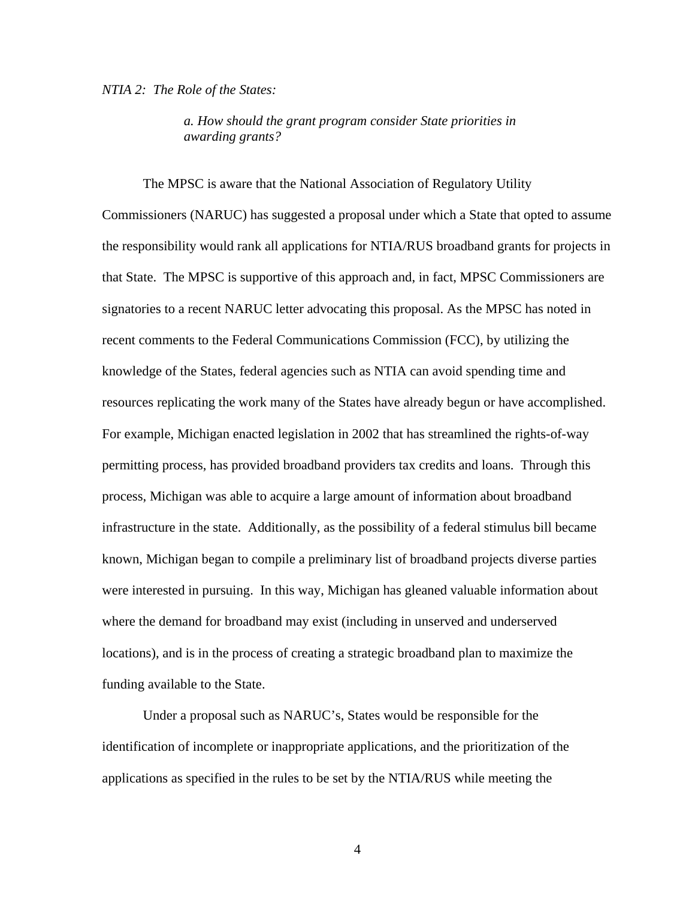#### *NTIA 2: The Role of the States:*

*a. How should the grant program consider State priorities in awarding grants?* 

 The MPSC is aware that the National Association of Regulatory Utility Commissioners (NARUC) has suggested a proposal under which a State that opted to assume the responsibility would rank all applications for NTIA/RUS broadband grants for projects in that State. The MPSC is supportive of this approach and, in fact, MPSC Commissioners are signatories to a recent NARUC letter advocating this proposal. As the MPSC has noted in recent comments to the Federal Communications Commission (FCC), by utilizing the knowledge of the States, federal agencies such as NTIA can avoid spending time and resources replicating the work many of the States have already begun or have accomplished. For example, Michigan enacted legislation in 2002 that has streamlined the rights-of-way permitting process, has provided broadband providers tax credits and loans. Through this process, Michigan was able to acquire a large amount of information about broadband infrastructure in the state. Additionally, as the possibility of a federal stimulus bill became known, Michigan began to compile a preliminary list of broadband projects diverse parties were interested in pursuing. In this way, Michigan has gleaned valuable information about where the demand for broadband may exist (including in unserved and underserved locations), and is in the process of creating a strategic broadband plan to maximize the funding available to the State.

 Under a proposal such as NARUC's, States would be responsible for the identification of incomplete or inappropriate applications, and the prioritization of the applications as specified in the rules to be set by the NTIA/RUS while meeting the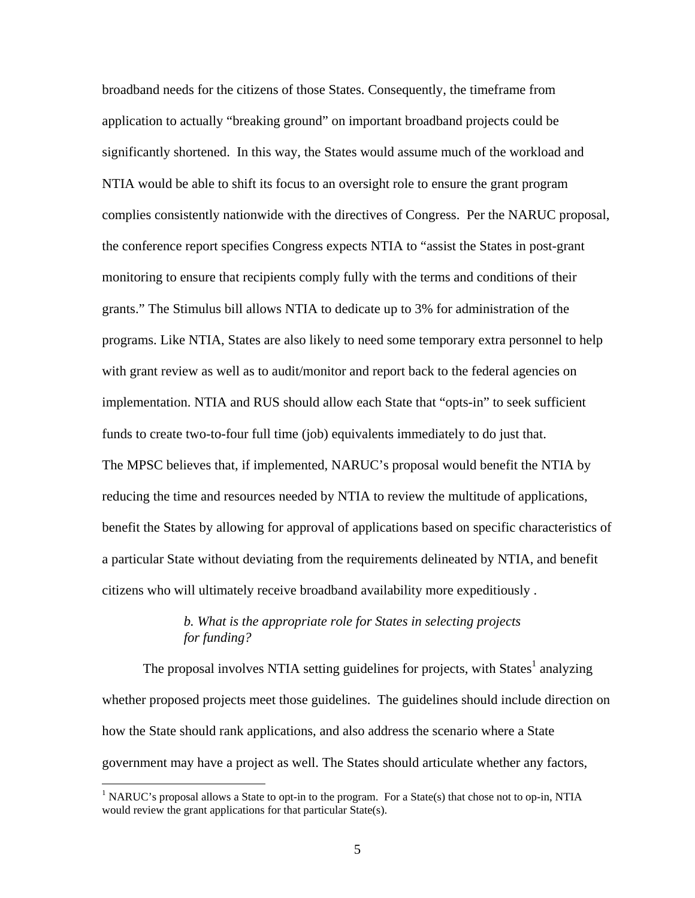broadband needs for the citizens of those States. Consequently, the timeframe from application to actually "breaking ground" on important broadband projects could be significantly shortened. In this way, the States would assume much of the workload and NTIA would be able to shift its focus to an oversight role to ensure the grant program complies consistently nationwide with the directives of Congress. Per the NARUC proposal, the conference report specifies Congress expects NTIA to "assist the States in post-grant monitoring to ensure that recipients comply fully with the terms and conditions of their grants." The Stimulus bill allows NTIA to dedicate up to 3% for administration of the programs. Like NTIA, States are also likely to need some temporary extra personnel to help with grant review as well as to audit/monitor and report back to the federal agencies on implementation. NTIA and RUS should allow each State that "opts-in" to seek sufficient funds to create two-to-four full time (job) equivalents immediately to do just that. The MPSC believes that, if implemented, NARUC's proposal would benefit the NTIA by reducing the time and resources needed by NTIA to review the multitude of applications, benefit the States by allowing for approval of applications based on specific characteristics of a particular State without deviating from the requirements delineated by NTIA, and benefit citizens who will ultimately receive broadband availability more expeditiously .

# *b. What is the appropriate role for States in selecting projects for funding?*

The proposal involves NTIA setting guidelines for projects, with States<sup>1</sup> analyzing whether proposed projects meet those guidelines. The guidelines should include direction on how the State should rank applications, and also address the scenario where a State government may have a project as well. The States should articulate whether any factors,

 $\overline{a}$ 

<sup>&</sup>lt;sup>1</sup> NARUC's proposal allows a State to opt-in to the program. For a State(s) that chose not to op-in, NTIA would review the grant applications for that particular State(s).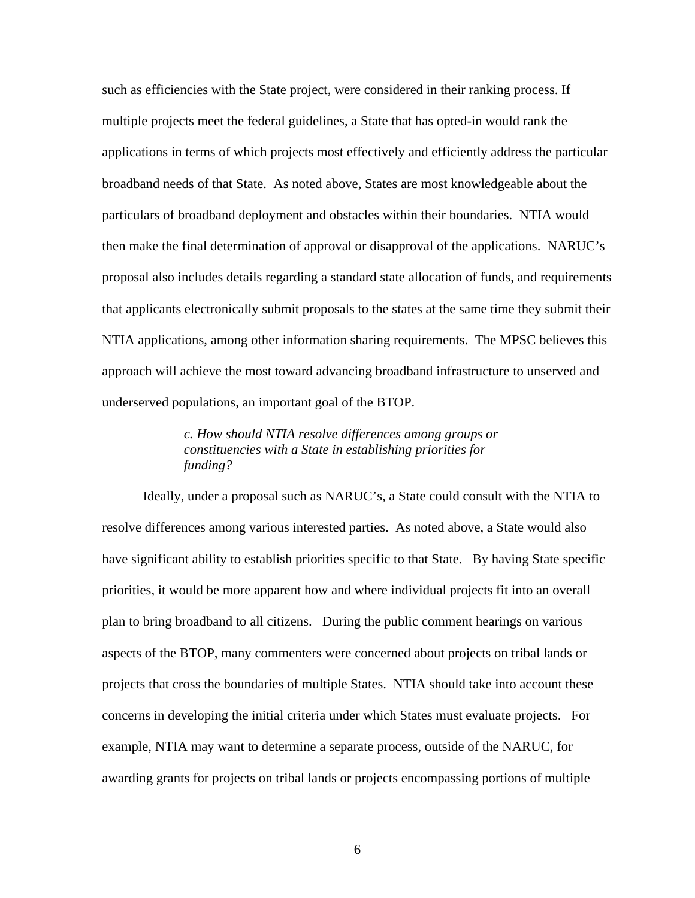such as efficiencies with the State project, were considered in their ranking process. If multiple projects meet the federal guidelines, a State that has opted-in would rank the applications in terms of which projects most effectively and efficiently address the particular broadband needs of that State. As noted above, States are most knowledgeable about the particulars of broadband deployment and obstacles within their boundaries. NTIA would then make the final determination of approval or disapproval of the applications. NARUC's proposal also includes details regarding a standard state allocation of funds, and requirements that applicants electronically submit proposals to the states at the same time they submit their NTIA applications, among other information sharing requirements. The MPSC believes this approach will achieve the most toward advancing broadband infrastructure to unserved and underserved populations, an important goal of the BTOP.

> *c. How should NTIA resolve differences among groups or constituencies with a State in establishing priorities for funding?*

 Ideally, under a proposal such as NARUC's, a State could consult with the NTIA to resolve differences among various interested parties. As noted above, a State would also have significant ability to establish priorities specific to that State. By having State specific priorities, it would be more apparent how and where individual projects fit into an overall plan to bring broadband to all citizens. During the public comment hearings on various aspects of the BTOP, many commenters were concerned about projects on tribal lands or projects that cross the boundaries of multiple States. NTIA should take into account these concerns in developing the initial criteria under which States must evaluate projects. For example, NTIA may want to determine a separate process, outside of the NARUC, for awarding grants for projects on tribal lands or projects encompassing portions of multiple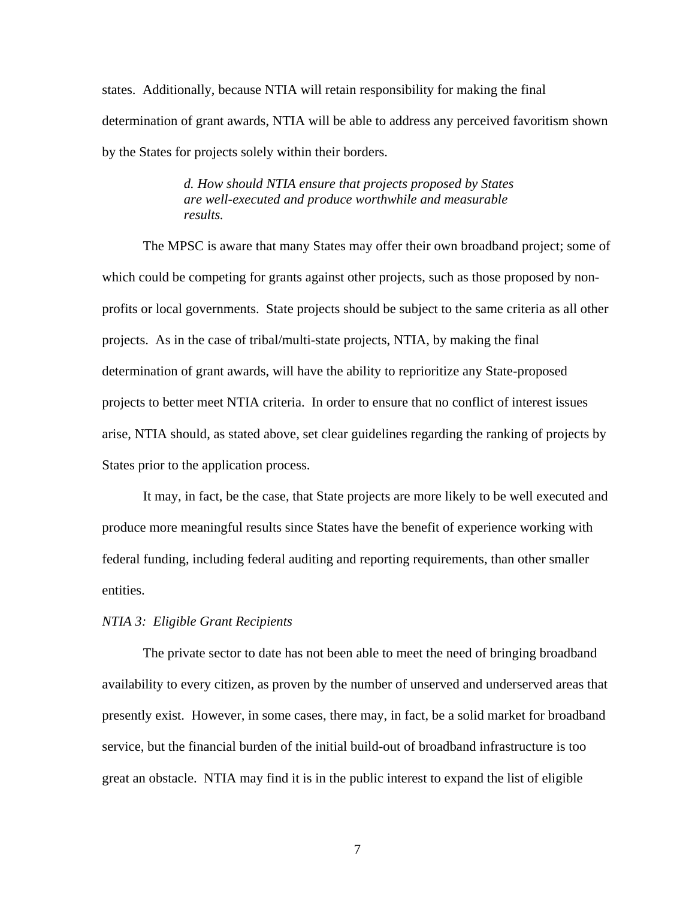states. Additionally, because NTIA will retain responsibility for making the final determination of grant awards, NTIA will be able to address any perceived favoritism shown by the States for projects solely within their borders.

> *d. How should NTIA ensure that projects proposed by States are well-executed and produce worthwhile and measurable results.*

 The MPSC is aware that many States may offer their own broadband project; some of which could be competing for grants against other projects, such as those proposed by nonprofits or local governments. State projects should be subject to the same criteria as all other projects. As in the case of tribal/multi-state projects, NTIA, by making the final determination of grant awards, will have the ability to reprioritize any State-proposed projects to better meet NTIA criteria. In order to ensure that no conflict of interest issues arise, NTIA should, as stated above, set clear guidelines regarding the ranking of projects by States prior to the application process.

 It may, in fact, be the case, that State projects are more likely to be well executed and produce more meaningful results since States have the benefit of experience working with federal funding, including federal auditing and reporting requirements, than other smaller entities.

#### *NTIA 3: Eligible Grant Recipients*

 The private sector to date has not been able to meet the need of bringing broadband availability to every citizen, as proven by the number of unserved and underserved areas that presently exist. However, in some cases, there may, in fact, be a solid market for broadband service, but the financial burden of the initial build-out of broadband infrastructure is too great an obstacle. NTIA may find it is in the public interest to expand the list of eligible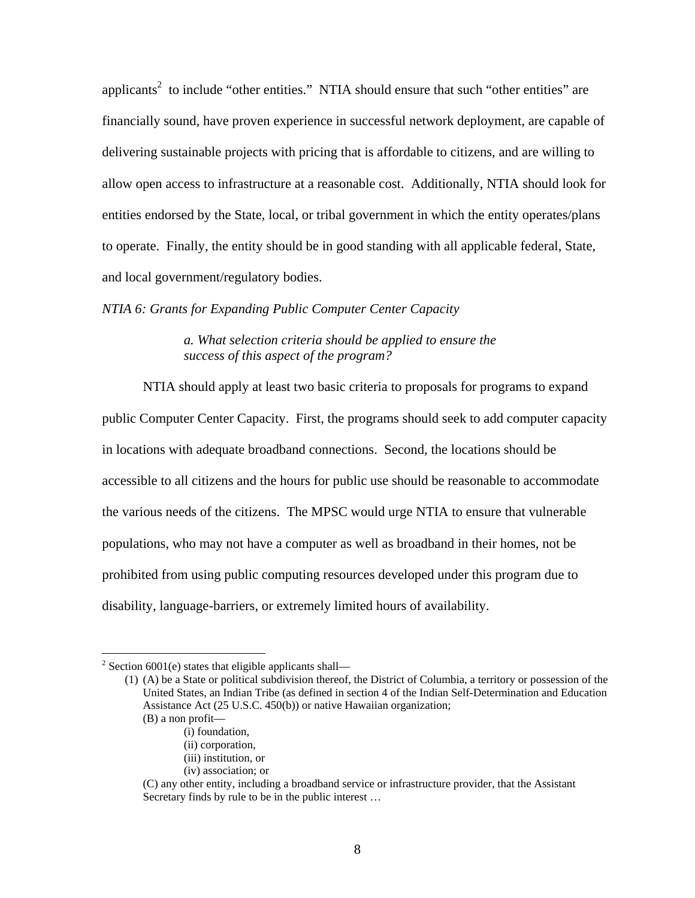applicants<sup>2</sup> to include "other entities." NTIA should ensure that such "other entities" are financially sound, have proven experience in successful network deployment, are capable of delivering sustainable projects with pricing that is affordable to citizens, and are willing to allow open access to infrastructure at a reasonable cost. Additionally, NTIA should look for entities endorsed by the State, local, or tribal government in which the entity operates/plans to operate. Finally, the entity should be in good standing with all applicable federal, State, and local government/regulatory bodies.

*NTIA 6: Grants for Expanding Public Computer Center Capacity* 

*a. What selection criteria should be applied to ensure the success of this aspect of the program?* 

 NTIA should apply at least two basic criteria to proposals for programs to expand public Computer Center Capacity. First, the programs should seek to add computer capacity in locations with adequate broadband connections. Second, the locations should be accessible to all citizens and the hours for public use should be reasonable to accommodate the various needs of the citizens. The MPSC would urge NTIA to ensure that vulnerable populations, who may not have a computer as well as broadband in their homes, not be prohibited from using public computing resources developed under this program due to disability, language-barriers, or extremely limited hours of availability.

 $\overline{a}$ 

<sup>&</sup>lt;sup>2</sup> Section 6001(e) states that eligible applicants shall—

 <sup>(1) (</sup>A) be a State or political subdivision thereof, the District of Columbia, a territory or possession of the United States, an Indian Tribe (as defined in section 4 of the Indian Self-Determination and Education Assistance Act (25 U.S.C. 450(b)) or native Hawaiian organization;

 <sup>(</sup>B) a non profit—

 <sup>(</sup>i) foundation,

 <sup>(</sup>ii) corporation,

 <sup>(</sup>iii) institution, or

 <sup>(</sup>iv) association; or

 <sup>(</sup>C) any other entity, including a broadband service or infrastructure provider, that the Assistant Secretary finds by rule to be in the public interest …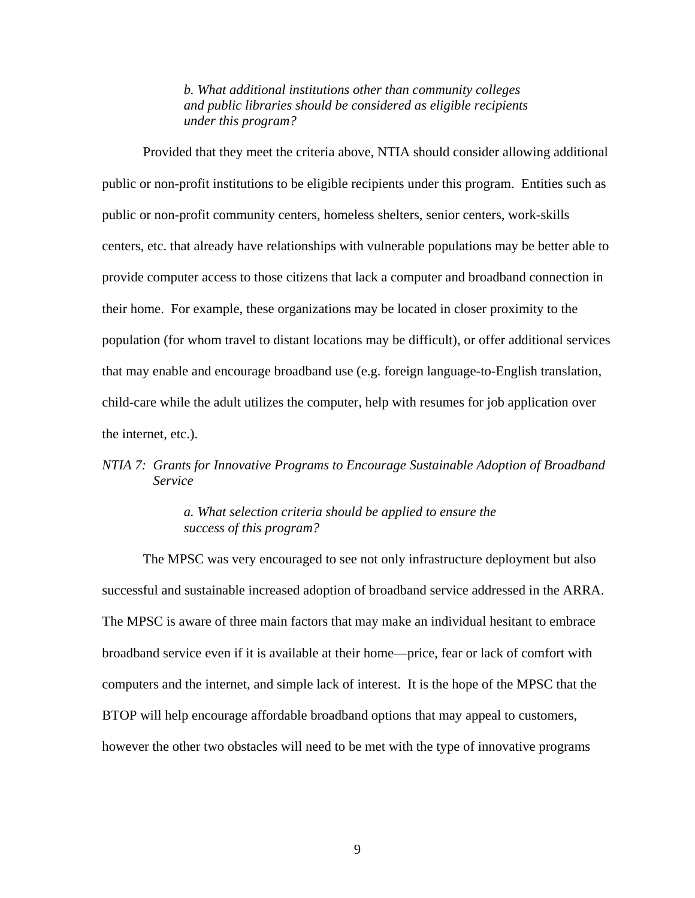#### *b. What additional institutions other than community colleges and public libraries should be considered as eligible recipients under this program?*

 Provided that they meet the criteria above, NTIA should consider allowing additional public or non-profit institutions to be eligible recipients under this program. Entities such as public or non-profit community centers, homeless shelters, senior centers, work-skills centers, etc. that already have relationships with vulnerable populations may be better able to provide computer access to those citizens that lack a computer and broadband connection in their home. For example, these organizations may be located in closer proximity to the population (for whom travel to distant locations may be difficult), or offer additional services that may enable and encourage broadband use (e.g. foreign language-to-English translation, child-care while the adult utilizes the computer, help with resumes for job application over the internet, etc.).

# *NTIA 7: Grants for Innovative Programs to Encourage Sustainable Adoption of Broadband Service*

#### *a. What selection criteria should be applied to ensure the success of this program?*

 The MPSC was very encouraged to see not only infrastructure deployment but also successful and sustainable increased adoption of broadband service addressed in the ARRA. The MPSC is aware of three main factors that may make an individual hesitant to embrace broadband service even if it is available at their home—price, fear or lack of comfort with computers and the internet, and simple lack of interest. It is the hope of the MPSC that the BTOP will help encourage affordable broadband options that may appeal to customers, however the other two obstacles will need to be met with the type of innovative programs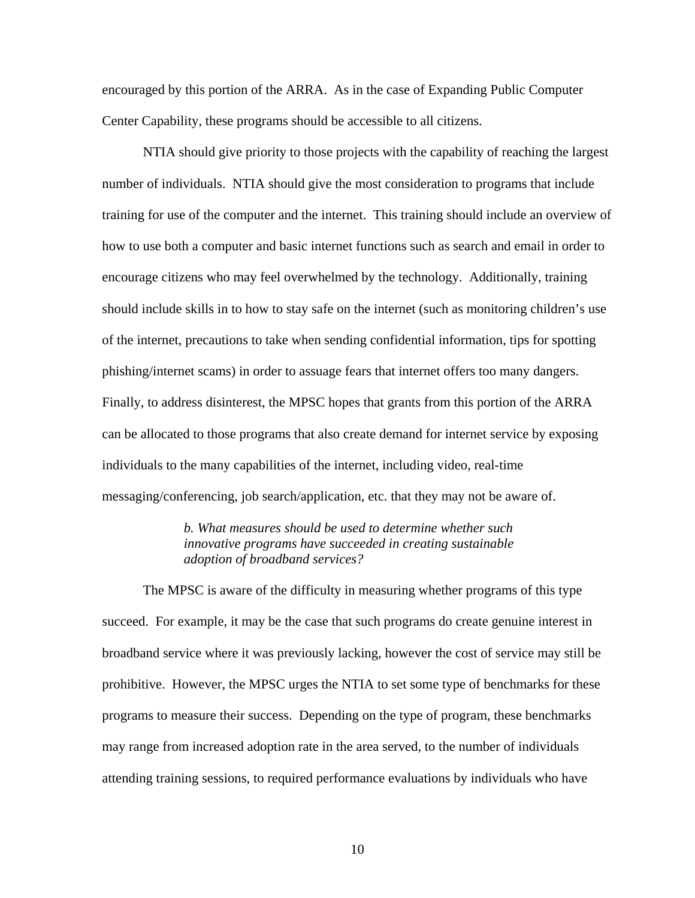encouraged by this portion of the ARRA. As in the case of Expanding Public Computer Center Capability, these programs should be accessible to all citizens.

 NTIA should give priority to those projects with the capability of reaching the largest number of individuals. NTIA should give the most consideration to programs that include training for use of the computer and the internet. This training should include an overview of how to use both a computer and basic internet functions such as search and email in order to encourage citizens who may feel overwhelmed by the technology. Additionally, training should include skills in to how to stay safe on the internet (such as monitoring children's use of the internet, precautions to take when sending confidential information, tips for spotting phishing/internet scams) in order to assuage fears that internet offers too many dangers. Finally, to address disinterest, the MPSC hopes that grants from this portion of the ARRA can be allocated to those programs that also create demand for internet service by exposing individuals to the many capabilities of the internet, including video, real-time messaging/conferencing, job search/application, etc. that they may not be aware of.

> *b. What measures should be used to determine whether such innovative programs have succeeded in creating sustainable adoption of broadband services?*

 The MPSC is aware of the difficulty in measuring whether programs of this type succeed. For example, it may be the case that such programs do create genuine interest in broadband service where it was previously lacking, however the cost of service may still be prohibitive. However, the MPSC urges the NTIA to set some type of benchmarks for these programs to measure their success. Depending on the type of program, these benchmarks may range from increased adoption rate in the area served, to the number of individuals attending training sessions, to required performance evaluations by individuals who have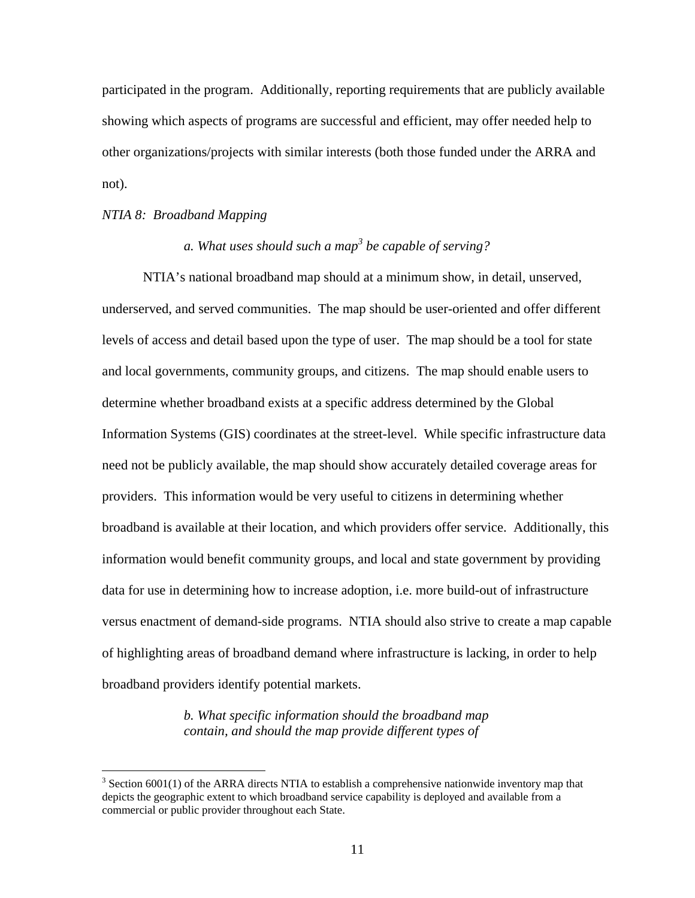participated in the program. Additionally, reporting requirements that are publicly available showing which aspects of programs are successful and efficient, may offer needed help to other organizations/projects with similar interests (both those funded under the ARRA and not).

#### *NTIA 8: Broadband Mapping*

1

# *a. What uses should such a map3 be capable of serving?*

 NTIA's national broadband map should at a minimum show, in detail, unserved, underserved, and served communities. The map should be user-oriented and offer different levels of access and detail based upon the type of user. The map should be a tool for state and local governments, community groups, and citizens. The map should enable users to determine whether broadband exists at a specific address determined by the Global Information Systems (GIS) coordinates at the street-level. While specific infrastructure data need not be publicly available, the map should show accurately detailed coverage areas for providers. This information would be very useful to citizens in determining whether broadband is available at their location, and which providers offer service. Additionally, this information would benefit community groups, and local and state government by providing data for use in determining how to increase adoption, i.e. more build-out of infrastructure versus enactment of demand-side programs. NTIA should also strive to create a map capable of highlighting areas of broadband demand where infrastructure is lacking, in order to help broadband providers identify potential markets.

> *b. What specific information should the broadband map contain, and should the map provide different types of*

 $3$  Section 6001(1) of the ARRA directs NTIA to establish a comprehensive nationwide inventory map that depicts the geographic extent to which broadband service capability is deployed and available from a commercial or public provider throughout each State.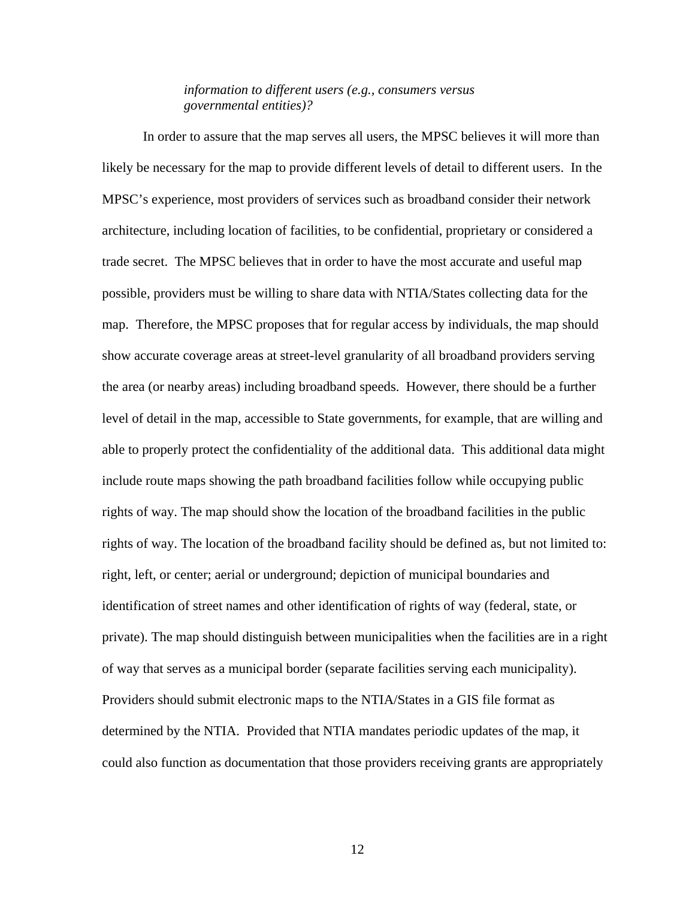#### *information to different users (e.g., consumers versus governmental entities)?*

 In order to assure that the map serves all users, the MPSC believes it will more than likely be necessary for the map to provide different levels of detail to different users. In the MPSC's experience, most providers of services such as broadband consider their network architecture, including location of facilities, to be confidential, proprietary or considered a trade secret. The MPSC believes that in order to have the most accurate and useful map possible, providers must be willing to share data with NTIA/States collecting data for the map. Therefore, the MPSC proposes that for regular access by individuals, the map should show accurate coverage areas at street-level granularity of all broadband providers serving the area (or nearby areas) including broadband speeds. However, there should be a further level of detail in the map, accessible to State governments, for example, that are willing and able to properly protect the confidentiality of the additional data. This additional data might include route maps showing the path broadband facilities follow while occupying public rights of way. The map should show the location of the broadband facilities in the public rights of way. The location of the broadband facility should be defined as, but not limited to: right, left, or center; aerial or underground; depiction of municipal boundaries and identification of street names and other identification of rights of way (federal, state, or private). The map should distinguish between municipalities when the facilities are in a right of way that serves as a municipal border (separate facilities serving each municipality). Providers should submit electronic maps to the NTIA/States in a GIS file format as determined by the NTIA. Provided that NTIA mandates periodic updates of the map, it could also function as documentation that those providers receiving grants are appropriately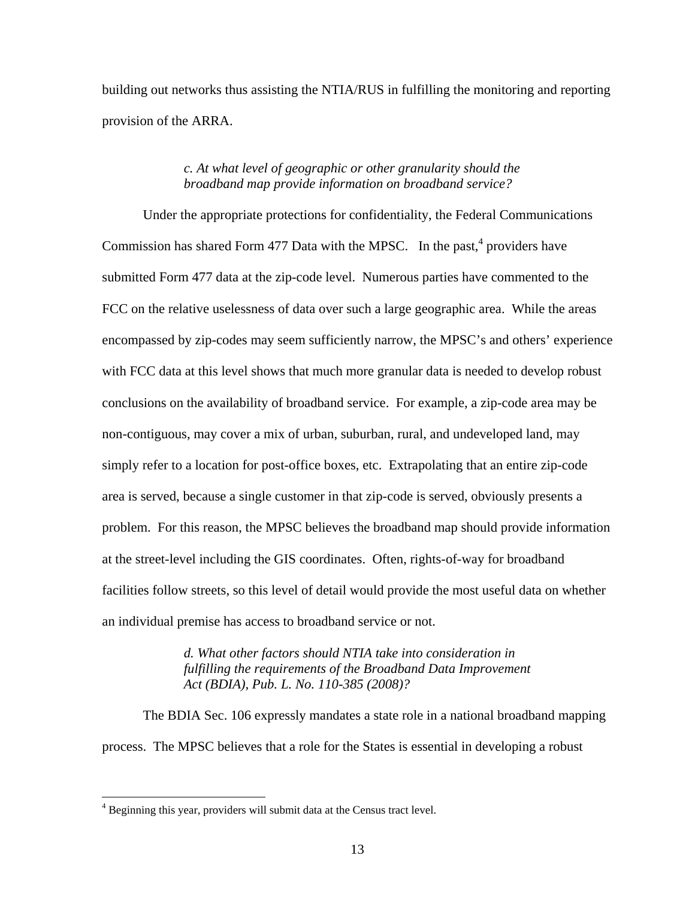building out networks thus assisting the NTIA/RUS in fulfilling the monitoring and reporting provision of the ARRA.

### *c. At what level of geographic or other granularity should the broadband map provide information on broadband service?*

 Under the appropriate protections for confidentiality, the Federal Communications Commission has shared Form 477 Data with the MPSC. In the past, $4$  providers have submitted Form 477 data at the zip-code level. Numerous parties have commented to the FCC on the relative uselessness of data over such a large geographic area. While the areas encompassed by zip-codes may seem sufficiently narrow, the MPSC's and others' experience with FCC data at this level shows that much more granular data is needed to develop robust conclusions on the availability of broadband service. For example, a zip-code area may be non-contiguous, may cover a mix of urban, suburban, rural, and undeveloped land, may simply refer to a location for post-office boxes, etc. Extrapolating that an entire zip-code area is served, because a single customer in that zip-code is served, obviously presents a problem. For this reason, the MPSC believes the broadband map should provide information at the street-level including the GIS coordinates. Often, rights-of-way for broadband facilities follow streets, so this level of detail would provide the most useful data on whether an individual premise has access to broadband service or not.

> *d. What other factors should NTIA take into consideration in fulfilling the requirements of the Broadband Data Improvement Act (BDIA), Pub. L. No. 110-385 (2008)?*

 The BDIA Sec. 106 expressly mandates a state role in a national broadband mapping process. The MPSC believes that a role for the States is essential in developing a robust

 $\overline{a}$ 

<sup>&</sup>lt;sup>4</sup> Beginning this year, providers will submit data at the Census tract level.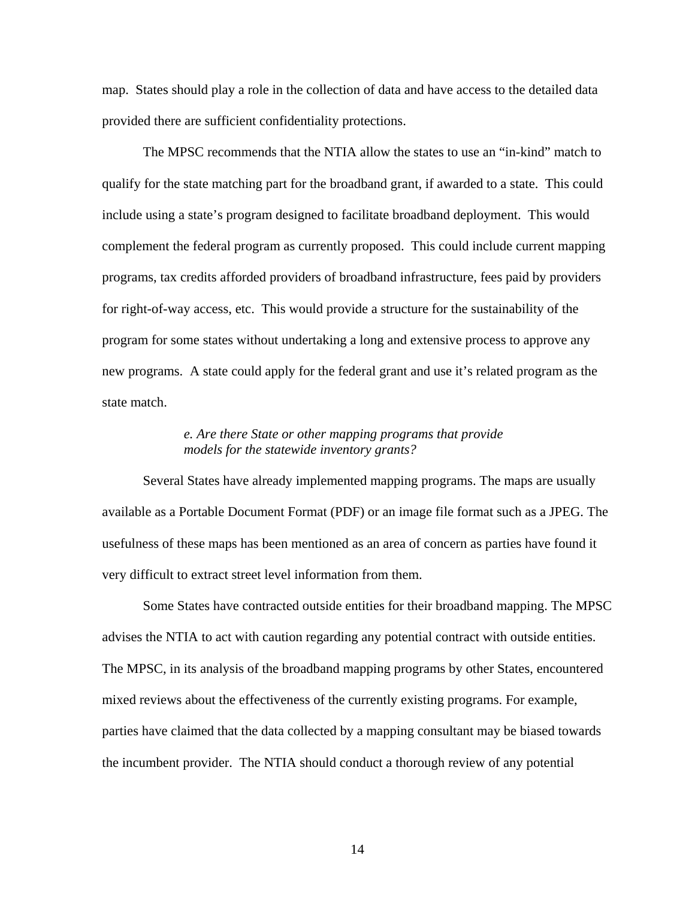map. States should play a role in the collection of data and have access to the detailed data provided there are sufficient confidentiality protections.

The MPSC recommends that the NTIA allow the states to use an "in-kind" match to qualify for the state matching part for the broadband grant, if awarded to a state. This could include using a state's program designed to facilitate broadband deployment. This would complement the federal program as currently proposed. This could include current mapping programs, tax credits afforded providers of broadband infrastructure, fees paid by providers for right-of-way access, etc. This would provide a structure for the sustainability of the program for some states without undertaking a long and extensive process to approve any new programs. A state could apply for the federal grant and use it's related program as the state match.

# *e. Are there State or other mapping programs that provide models for the statewide inventory grants?*

 Several States have already implemented mapping programs. The maps are usually available as a Portable Document Format (PDF) or an image file format such as a JPEG. The usefulness of these maps has been mentioned as an area of concern as parties have found it very difficult to extract street level information from them.

 Some States have contracted outside entities for their broadband mapping. The MPSC advises the NTIA to act with caution regarding any potential contract with outside entities. The MPSC, in its analysis of the broadband mapping programs by other States, encountered mixed reviews about the effectiveness of the currently existing programs. For example, parties have claimed that the data collected by a mapping consultant may be biased towards the incumbent provider. The NTIA should conduct a thorough review of any potential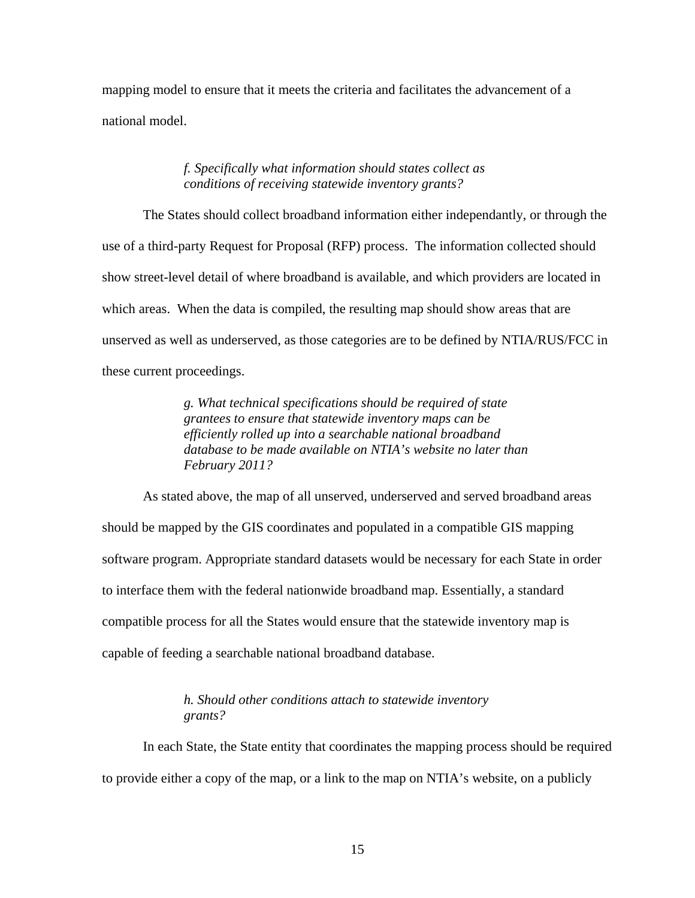mapping model to ensure that it meets the criteria and facilitates the advancement of a national model.

#### *f. Specifically what information should states collect as conditions of receiving statewide inventory grants?*

 The States should collect broadband information either independantly, or through the use of a third-party Request for Proposal (RFP) process. The information collected should show street-level detail of where broadband is available, and which providers are located in which areas. When the data is compiled, the resulting map should show areas that are unserved as well as underserved, as those categories are to be defined by NTIA/RUS/FCC in these current proceedings.

> *g. What technical specifications should be required of state grantees to ensure that statewide inventory maps can be efficiently rolled up into a searchable national broadband database to be made available on NTIA's website no later than February 2011?*

 As stated above, the map of all unserved, underserved and served broadband areas should be mapped by the GIS coordinates and populated in a compatible GIS mapping software program. Appropriate standard datasets would be necessary for each State in order to interface them with the federal nationwide broadband map. Essentially, a standard compatible process for all the States would ensure that the statewide inventory map is capable of feeding a searchable national broadband database.

## *h. Should other conditions attach to statewide inventory grants?*

 In each State, the State entity that coordinates the mapping process should be required to provide either a copy of the map, or a link to the map on NTIA's website, on a publicly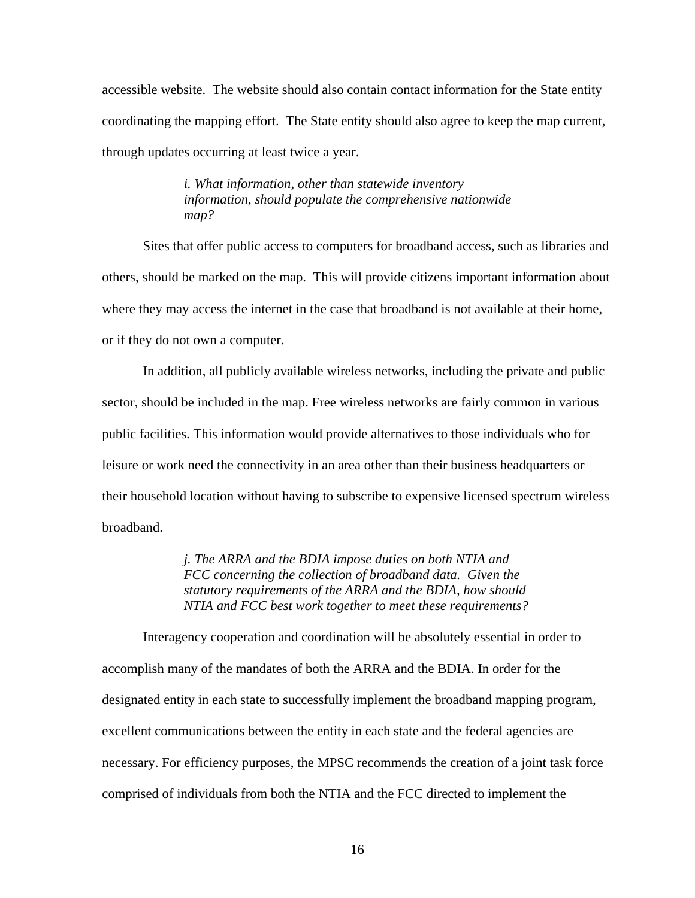accessible website. The website should also contain contact information for the State entity coordinating the mapping effort. The State entity should also agree to keep the map current, through updates occurring at least twice a year.

> *i. What information, other than statewide inventory information, should populate the comprehensive nationwide map?*

 Sites that offer public access to computers for broadband access, such as libraries and others, should be marked on the map. This will provide citizens important information about where they may access the internet in the case that broadband is not available at their home, or if they do not own a computer.

 In addition, all publicly available wireless networks, including the private and public sector, should be included in the map. Free wireless networks are fairly common in various public facilities. This information would provide alternatives to those individuals who for leisure or work need the connectivity in an area other than their business headquarters or their household location without having to subscribe to expensive licensed spectrum wireless broadband.

> *j. The ARRA and the BDIA impose duties on both NTIA and FCC concerning the collection of broadband data. Given the statutory requirements of the ARRA and the BDIA, how should NTIA and FCC best work together to meet these requirements?*

 Interagency cooperation and coordination will be absolutely essential in order to accomplish many of the mandates of both the ARRA and the BDIA. In order for the designated entity in each state to successfully implement the broadband mapping program, excellent communications between the entity in each state and the federal agencies are necessary. For efficiency purposes, the MPSC recommends the creation of a joint task force comprised of individuals from both the NTIA and the FCC directed to implement the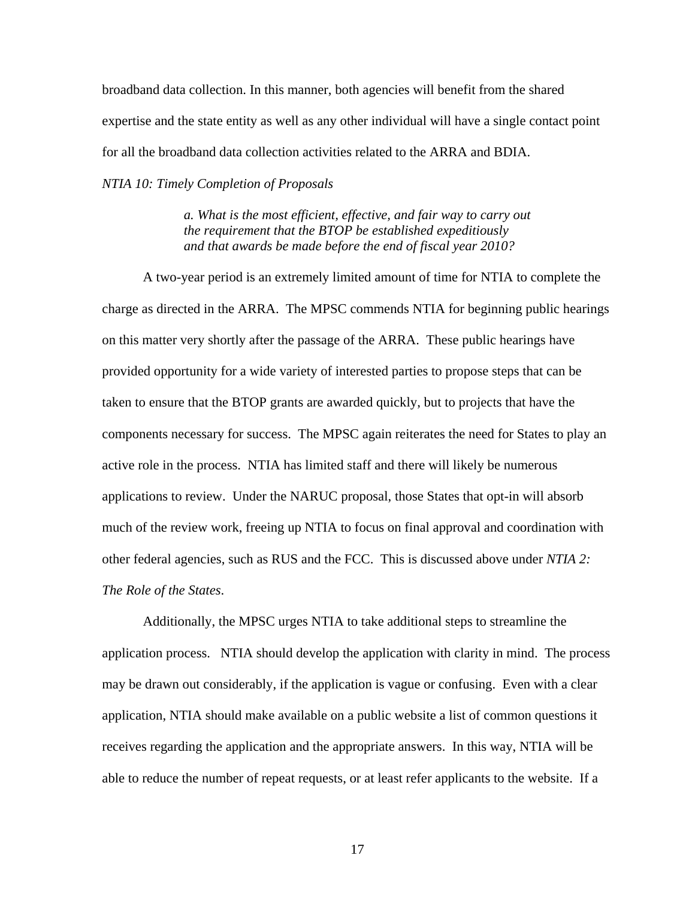broadband data collection. In this manner, both agencies will benefit from the shared expertise and the state entity as well as any other individual will have a single contact point for all the broadband data collection activities related to the ARRA and BDIA.

*NTIA 10: Timely Completion of Proposals* 

*a. What is the most efficient, effective, and fair way to carry out the requirement that the BTOP be established expeditiously and that awards be made before the end of fiscal year 2010?* 

 A two-year period is an extremely limited amount of time for NTIA to complete the charge as directed in the ARRA. The MPSC commends NTIA for beginning public hearings on this matter very shortly after the passage of the ARRA. These public hearings have provided opportunity for a wide variety of interested parties to propose steps that can be taken to ensure that the BTOP grants are awarded quickly, but to projects that have the components necessary for success. The MPSC again reiterates the need for States to play an active role in the process. NTIA has limited staff and there will likely be numerous applications to review. Under the NARUC proposal, those States that opt-in will absorb much of the review work, freeing up NTIA to focus on final approval and coordination with other federal agencies, such as RUS and the FCC. This is discussed above under *NTIA 2: The Role of the States*.

 Additionally, the MPSC urges NTIA to take additional steps to streamline the application process. NTIA should develop the application with clarity in mind. The process may be drawn out considerably, if the application is vague or confusing. Even with a clear application, NTIA should make available on a public website a list of common questions it receives regarding the application and the appropriate answers. In this way, NTIA will be able to reduce the number of repeat requests, or at least refer applicants to the website. If a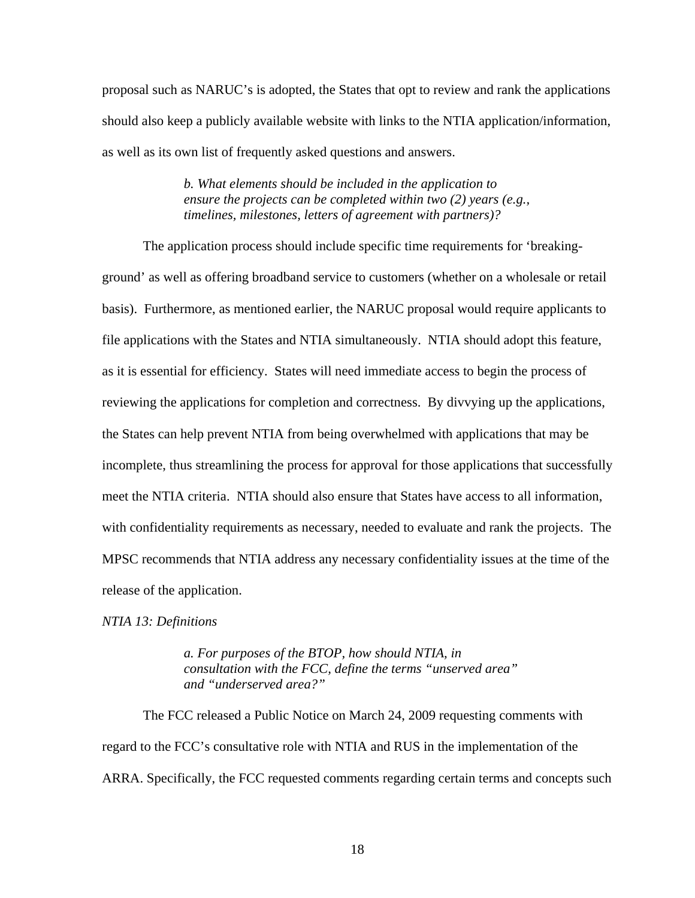proposal such as NARUC's is adopted, the States that opt to review and rank the applications should also keep a publicly available website with links to the NTIA application/information, as well as its own list of frequently asked questions and answers.

> *b. What elements should be included in the application to ensure the projects can be completed within two (2) years (e.g., timelines, milestones, letters of agreement with partners)?*

 The application process should include specific time requirements for 'breakingground' as well as offering broadband service to customers (whether on a wholesale or retail basis). Furthermore, as mentioned earlier, the NARUC proposal would require applicants to file applications with the States and NTIA simultaneously. NTIA should adopt this feature, as it is essential for efficiency. States will need immediate access to begin the process of reviewing the applications for completion and correctness. By divvying up the applications, the States can help prevent NTIA from being overwhelmed with applications that may be incomplete, thus streamlining the process for approval for those applications that successfully meet the NTIA criteria. NTIA should also ensure that States have access to all information, with confidentiality requirements as necessary, needed to evaluate and rank the projects. The MPSC recommends that NTIA address any necessary confidentiality issues at the time of the release of the application.

*NTIA 13: Definitions* 

*a. For purposes of the BTOP, how should NTIA, in consultation with the FCC, define the terms "unserved area" and "underserved area?"* 

 The FCC released a Public Notice on March 24, 2009 requesting comments with regard to the FCC's consultative role with NTIA and RUS in the implementation of the ARRA. Specifically, the FCC requested comments regarding certain terms and concepts such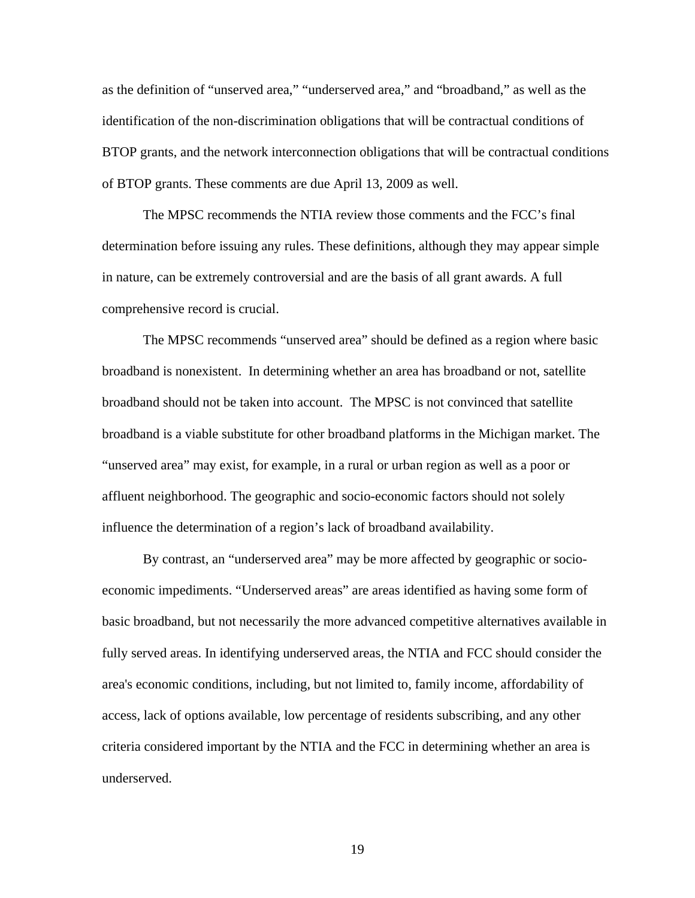as the definition of "unserved area," "underserved area," and "broadband," as well as the identification of the non-discrimination obligations that will be contractual conditions of BTOP grants, and the network interconnection obligations that will be contractual conditions of BTOP grants. These comments are due April 13, 2009 as well.

 The MPSC recommends the NTIA review those comments and the FCC's final determination before issuing any rules. These definitions, although they may appear simple in nature, can be extremely controversial and are the basis of all grant awards. A full comprehensive record is crucial.

 The MPSC recommends "unserved area" should be defined as a region where basic broadband is nonexistent. In determining whether an area has broadband or not, satellite broadband should not be taken into account. The MPSC is not convinced that satellite broadband is a viable substitute for other broadband platforms in the Michigan market. The "unserved area" may exist, for example, in a rural or urban region as well as a poor or affluent neighborhood. The geographic and socio-economic factors should not solely influence the determination of a region's lack of broadband availability.

 By contrast, an "underserved area" may be more affected by geographic or socioeconomic impediments. "Underserved areas" are areas identified as having some form of basic broadband, but not necessarily the more advanced competitive alternatives available in fully served areas. In identifying underserved areas, the NTIA and FCC should consider the area's economic conditions, including, but not limited to, family income, affordability of access, lack of options available, low percentage of residents subscribing, and any other criteria considered important by the NTIA and the FCC in determining whether an area is underserved.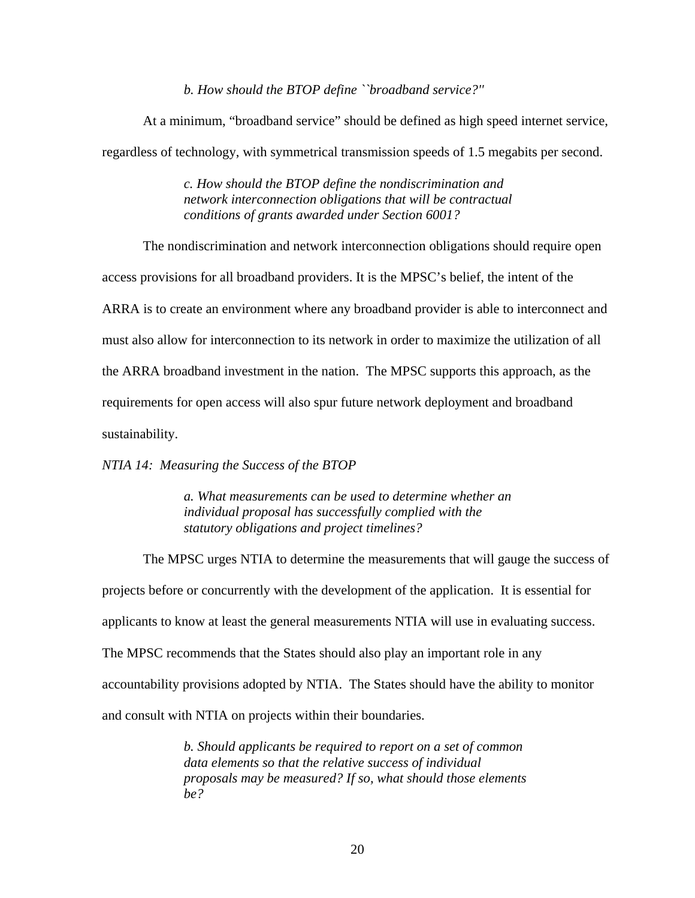*b. How should the BTOP define ``broadband service?''* 

 At a minimum, "broadband service" should be defined as high speed internet service, regardless of technology, with symmetrical transmission speeds of 1.5 megabits per second.

> *c. How should the BTOP define the nondiscrimination and network interconnection obligations that will be contractual conditions of grants awarded under Section 6001?*

 The nondiscrimination and network interconnection obligations should require open access provisions for all broadband providers. It is the MPSC's belief, the intent of the ARRA is to create an environment where any broadband provider is able to interconnect and must also allow for interconnection to its network in order to maximize the utilization of all the ARRA broadband investment in the nation. The MPSC supports this approach, as the requirements for open access will also spur future network deployment and broadband sustainability.

*NTIA 14: Measuring the Success of the BTOP* 

*a. What measurements can be used to determine whether an individual proposal has successfully complied with the statutory obligations and project timelines?* 

 The MPSC urges NTIA to determine the measurements that will gauge the success of projects before or concurrently with the development of the application. It is essential for applicants to know at least the general measurements NTIA will use in evaluating success. The MPSC recommends that the States should also play an important role in any accountability provisions adopted by NTIA. The States should have the ability to monitor and consult with NTIA on projects within their boundaries.

> *b. Should applicants be required to report on a set of common data elements so that the relative success of individual proposals may be measured? If so, what should those elements be?*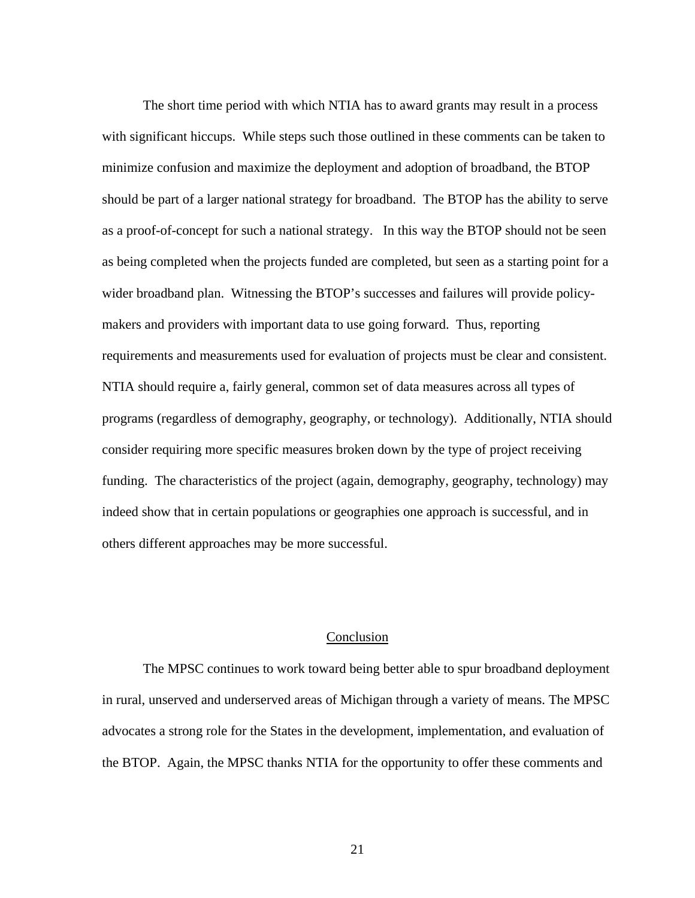The short time period with which NTIA has to award grants may result in a process with significant hiccups. While steps such those outlined in these comments can be taken to minimize confusion and maximize the deployment and adoption of broadband, the BTOP should be part of a larger national strategy for broadband. The BTOP has the ability to serve as a proof-of-concept for such a national strategy. In this way the BTOP should not be seen as being completed when the projects funded are completed, but seen as a starting point for a wider broadband plan. Witnessing the BTOP's successes and failures will provide policymakers and providers with important data to use going forward. Thus, reporting requirements and measurements used for evaluation of projects must be clear and consistent. NTIA should require a, fairly general, common set of data measures across all types of programs (regardless of demography, geography, or technology). Additionally, NTIA should consider requiring more specific measures broken down by the type of project receiving funding. The characteristics of the project (again, demography, geography, technology) may indeed show that in certain populations or geographies one approach is successful, and in others different approaches may be more successful.

#### Conclusion

 The MPSC continues to work toward being better able to spur broadband deployment in rural, unserved and underserved areas of Michigan through a variety of means. The MPSC advocates a strong role for the States in the development, implementation, and evaluation of the BTOP. Again, the MPSC thanks NTIA for the opportunity to offer these comments and